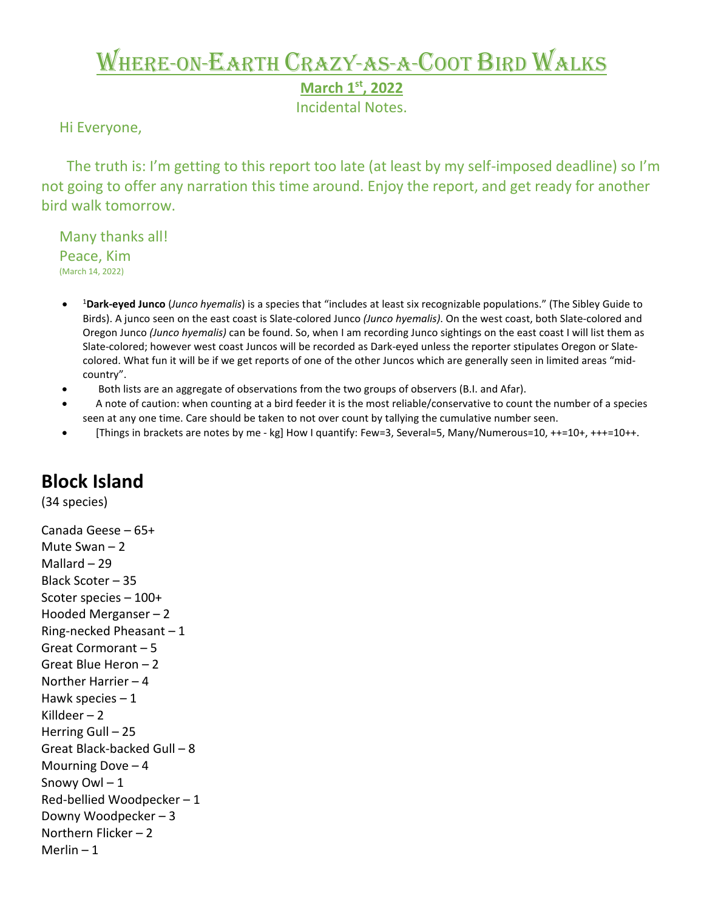## Where-on-Earth Crazy-as-a-Coot Bird Walks

**March 1st, 2022** 

Incidental Notes.

Hi Everyone,

 The truth is: I'm getting to this report too late (at least by my self-imposed deadline) so I'm not going to offer any narration this time around. Enjoy the report, and get ready for another bird walk tomorrow.

 Many thanks all! **Peace, Kim** (March 14, 2022)

- <sup>1</sup> **Dark-eyed Junco** (*Junco hyemalis*) is a species that "includes at least six recognizable populations." (The Sibley Guide to Birds). A junco seen on the east coast is Slate-colored Junco *(Junco hyemalis)*. On the west coast, both Slate-colored and Oregon Junco *(Junco hyemalis)* can be found. So, when I am recording Junco sightings on the east coast I will list them as Slate-colored; however west coast Juncos will be recorded as Dark-eyed unless the reporter stipulates Oregon or Slatecolored. What fun it will be if we get reports of one of the other Juncos which are generally seen in limited areas "midcountry".
- Both lists are an aggregate of observations from the two groups of observers (B.I. and Afar).
- A note of caution: when counting at a bird feeder it is the most reliable/conservative to count the number of a species seen at any one time. Care should be taken to not over count by tallying the cumulative number seen.
- [Things in brackets are notes by me kg] How I quantify: Few=3, Several=5, Many/Numerous=10, ++=10+, +++=10++.

## **Block Island**

(34 species)

Canada Geese – 65+ Mute Swan – 2 Mallard – 29 Black Scoter – 35 Scoter species – 100+ Hooded Merganser – 2 Ring-necked Pheasant  $-1$ Great Cormorant – 5 Great Blue Heron – 2 Norther Harrier – 4 Hawk species  $-1$ Killdeer – 2 Herring Gull – 25 Great Black-backed Gull – 8 Mourning Dove – 4 Snowy Owl – 1 Red-bellied Woodpecker – 1 Downy Woodpecker – 3 Northern Flicker – 2 Merlin – 1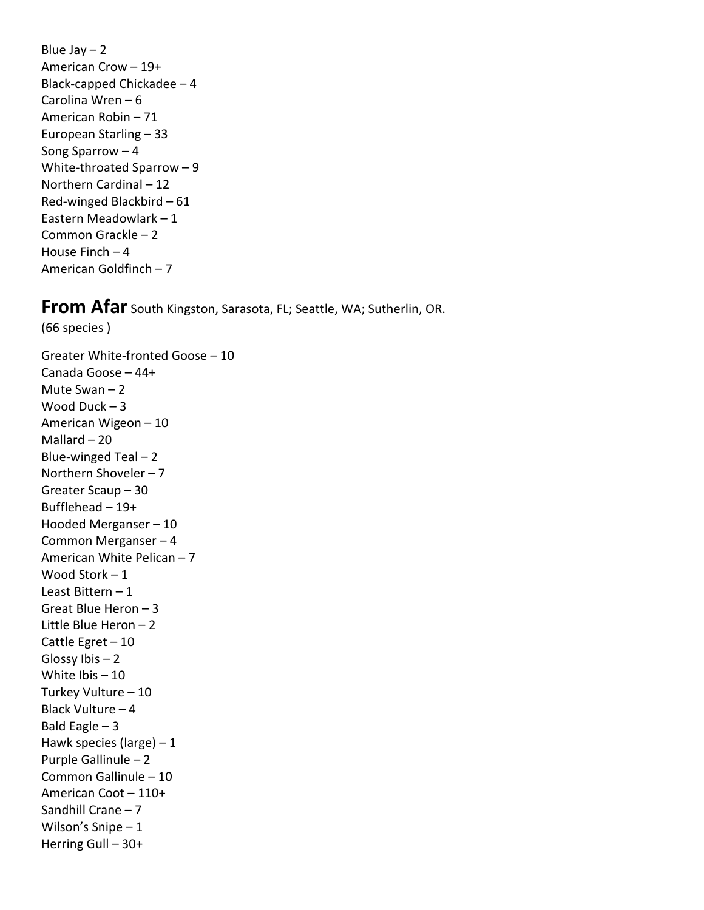Blue Jay  $-2$ American Crow – 19+ Black-capped Chickadee – 4 Carolina Wren – 6 American Robin – 71 European Starling – 33 Song Sparrow – 4 White-throated Sparrow – 9 Northern Cardinal – 12 Red-winged Blackbird – 61 Eastern Meadowlark – 1 Common Grackle – 2 House Finch – 4 American Goldfinch – 7

## **From Afar** South Kingston, Sarasota, FL; Seattle, WA; Sutherlin, OR.

(66 species )

Greater White-fronted Goose – 10 Canada Goose – 44+ Mute Swan – 2 Wood Duck – 3 American Wigeon – 10 Mallard – 20 Blue-winged Teal  $-2$ Northern Shoveler – 7 Greater Scaup – 30 Bufflehead – 19+ Hooded Merganser – 10 Common Merganser – 4 American White Pelican – 7 Wood Stork – 1 Least Bittern – 1 Great Blue Heron – 3 Little Blue Heron – 2 Cattle Egret – 10 Glossy Ibis – 2 White Ibis – 10 Turkey Vulture – 10 Black Vulture – 4 Bald Eagle  $-3$ Hawk species (large)  $-1$ Purple Gallinule – 2 Common Gallinule – 10 American Coot – 110+ Sandhill Crane – 7 Wilson's Snipe – 1 Herring Gull – 30+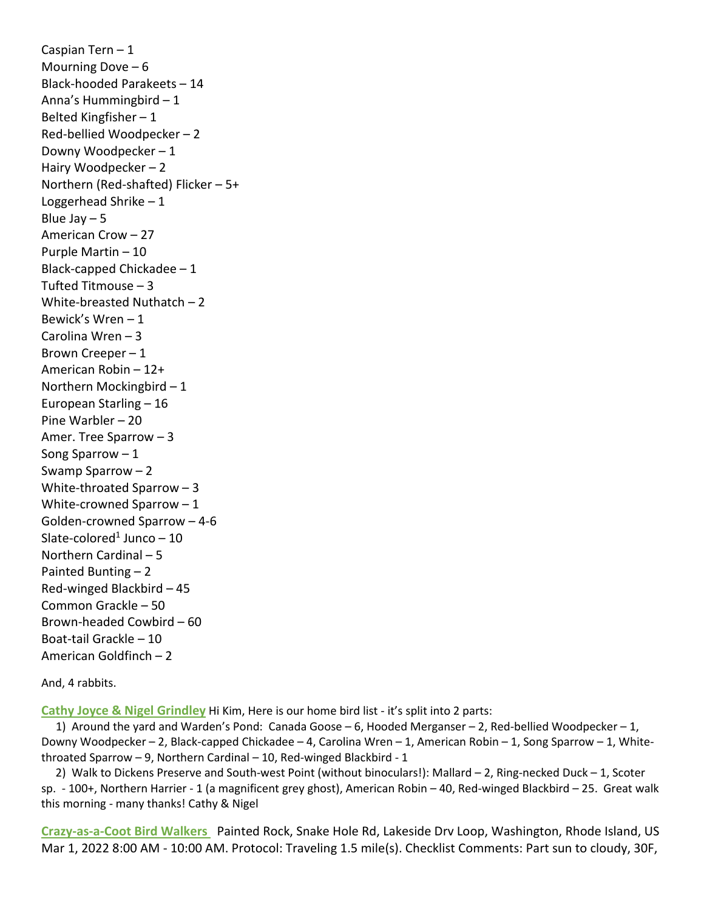Caspian Tern – 1 Mourning Dove  $-6$ Black-hooded Parakeets – 14 Anna's Hummingbird – 1 Belted Kingfisher – 1 Red-bellied Woodpecker – 2 Downy Woodpecker – 1 Hairy Woodpecker – 2 Northern (Red-shafted) Flicker – 5+ Loggerhead Shrike – 1 Blue Jay  $-5$ American Crow – 27 Purple Martin – 10 Black-capped Chickadee – 1 Tufted Titmouse – 3 White-breasted Nuthatch – 2 Bewick's Wren – 1 Carolina Wren – 3 Brown Creeper – 1 American Robin – 12+ Northern Mockingbird – 1 European Starling – 16 Pine Warbler – 20 Amer. Tree Sparrow – 3 Song Sparrow – 1 Swamp Sparrow – 2 White-throated Sparrow – 3 White-crowned Sparrow – 1 Golden-crowned Sparrow – 4-6 Slate-colored<sup>1</sup> Junco  $-10$ Northern Cardinal – 5 Painted Bunting – 2 Red-winged Blackbird – 45 Common Grackle – 50 Brown-headed Cowbird – 60 Boat-tail Grackle – 10 American Goldfinch – 2

And, 4 rabbits.

**Cathy Joyce & Nigel Grindley** Hi Kim, Here is our home bird list - it's split into 2 parts:

 1) Around the yard and Warden's Pond: Canada Goose – 6, Hooded Merganser – 2, Red-bellied Woodpecker – 1, Downy Woodpecker – 2, Black-capped Chickadee – 4, Carolina Wren – 1, American Robin – 1, Song Sparrow – 1, Whitethroated Sparrow – 9, Northern Cardinal – 10, Red-winged Blackbird - 1

 2) Walk to Dickens Preserve and South-west Point (without binoculars!): Mallard – 2, Ring-necked Duck – 1, Scoter sp. - 100+, Northern Harrier - 1 (a magnificent grey ghost), American Robin – 40, Red-winged Blackbird – 25. Great walk this morning - many thanks! Cathy & Nigel

**Crazy-as-a-Coot Bird Walkers** Painted Rock, Snake Hole Rd, Lakeside Drv Loop, Washington, Rhode Island, US Mar 1, 2022 8:00 AM - 10:00 AM. Protocol: Traveling 1.5 mile(s). Checklist Comments: Part sun to cloudy, 30F,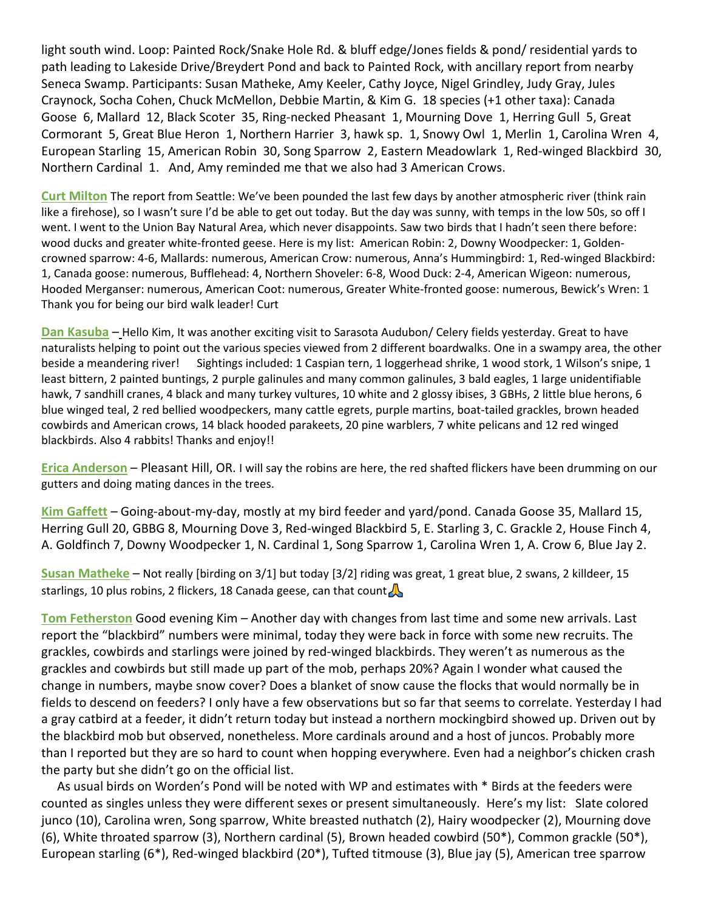light south wind. Loop: Painted Rock/Snake Hole Rd. & bluff edge/Jones fields & pond/ residential yards to path leading to Lakeside Drive/Breydert Pond and back to Painted Rock, with ancillary report from nearby Seneca Swamp. Participants: Susan Matheke, Amy Keeler, Cathy Joyce, Nigel Grindley, Judy Gray, Jules Craynock, Socha Cohen, Chuck McMellon, Debbie Martin, & Kim G. 18 species (+1 other taxa): Canada Goose 6, Mallard 12, Black Scoter 35, Ring-necked Pheasant 1, Mourning Dove 1, Herring Gull 5, Great Cormorant 5, Great Blue Heron 1, Northern Harrier 3, hawk sp. 1, Snowy Owl 1, Merlin 1, Carolina Wren 4, European Starling 15, American Robin 30, Song Sparrow 2, Eastern Meadowlark 1, Red-winged Blackbird 30, Northern Cardinal 1. And, Amy reminded me that we also had 3 American Crows.

**Curt Milton** The report from Seattle: We've been pounded the last few days by another atmospheric river (think rain like a firehose), so I wasn't sure I'd be able to get out today. But the day was sunny, with temps in the low 50s, so off I went. I went to the Union Bay Natural Area, which never disappoints. Saw two birds that I hadn't seen there before: wood ducks and greater white-fronted geese. Here is my list: American Robin: 2, Downy Woodpecker: 1, Goldencrowned sparrow: 4-6, Mallards: numerous, American Crow: numerous, Anna's Hummingbird: 1, Red-winged Blackbird: 1, Canada goose: numerous, Bufflehead: 4, Northern Shoveler: 6-8, Wood Duck: 2-4, American Wigeon: numerous, Hooded Merganser: numerous, American Coot: numerous, Greater White-fronted goose: numerous, Bewick's Wren: 1 Thank you for being our bird walk leader! Curt

**Dan Kasuba** – Hello Kim, It was another exciting visit to Sarasota Audubon/ Celery fields yesterday. Great to have naturalists helping to point out the various species viewed from 2 different boardwalks. One in a swampy area, the other beside a meandering river! Sightings included: 1 Caspian tern, 1 loggerhead shrike, 1 wood stork, 1 Wilson's snipe, 1 least bittern, 2 painted buntings, 2 purple galinules and many common galinules, 3 bald eagles, 1 large unidentifiable hawk, 7 sandhill cranes, 4 black and many turkey vultures, 10 white and 2 glossy ibises, 3 GBHs, 2 little blue herons, 6 blue winged teal, 2 red bellied woodpeckers, many cattle egrets, purple martins, boat-tailed grackles, brown headed cowbirds and American crows, 14 black hooded parakeets, 20 pine warblers, 7 white pelicans and 12 red winged blackbirds. Also 4 rabbits! Thanks and enjoy!!

**Erica Anderson** – Pleasant Hill, OR. I will say the robins are here, the red shafted flickers have been drumming on our gutters and doing mating dances in the trees.

**Kim Gaffett** – Going-about-my-day, mostly at my bird feeder and yard/pond. Canada Goose 35, Mallard 15, Herring Gull 20, GBBG 8, Mourning Dove 3, Red-winged Blackbird 5, E. Starling 3, C. Grackle 2, House Finch 4, A. Goldfinch 7, Downy Woodpecker 1, N. Cardinal 1, Song Sparrow 1, Carolina Wren 1, A. Crow 6, Blue Jay 2.

**Susan Matheke** – Not really [birding on 3/1] but today [3/2] riding was great, 1 great blue, 2 swans, 2 killdeer, 15 starlings, 10 plus robins, 2 flickers, 18 Canada geese, can that count

**Tom Fetherston** Good evening Kim – Another day with changes from last time and some new arrivals. Last report the "blackbird" numbers were minimal, today they were back in force with some new recruits. The grackles, cowbirds and starlings were joined by red-winged blackbirds. They weren't as numerous as the grackles and cowbirds but still made up part of the mob, perhaps 20%? Again I wonder what caused the change in numbers, maybe snow cover? Does a blanket of snow cause the flocks that would normally be in fields to descend on feeders? I only have a few observations but so far that seems to correlate. Yesterday I had a gray catbird at a feeder, it didn't return today but instead a northern mockingbird showed up. Driven out by the blackbird mob but observed, nonetheless. More cardinals around and a host of juncos. Probably more than I reported but they are so hard to count when hopping everywhere. Even had a neighbor's chicken crash the party but she didn't go on the official list.

 As usual birds on Worden's Pond will be noted with WP and estimates with \* Birds at the feeders were counted as singles unless they were different sexes or present simultaneously. Here's my list: Slate colored junco (10), Carolina wren, Song sparrow, White breasted nuthatch (2), Hairy woodpecker (2), Mourning dove (6), White throated sparrow (3), Northern cardinal (5), Brown headed cowbird (50\*), Common grackle (50\*), European starling (6\*), Red-winged blackbird (20\*), Tufted titmouse (3), Blue jay (5), American tree sparrow